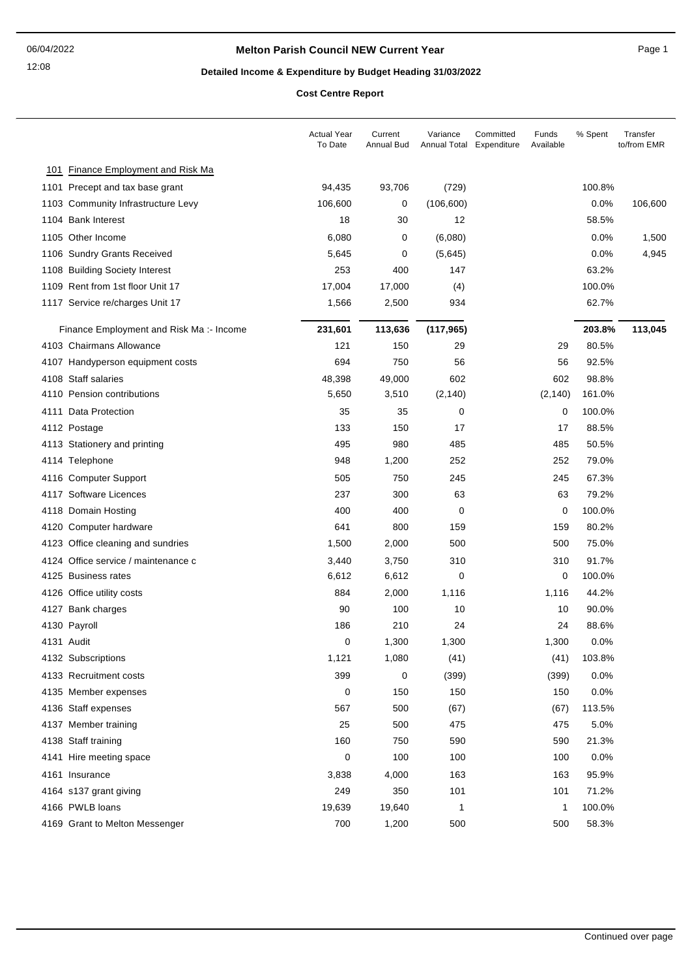#### **Melton Parish Council NEW Current Year** Page 1

# **Detailed Income & Expenditure by Budget Heading 31/03/2022**

**Cost Centre Report**

|                                         | <b>Actual Year</b><br>To Date | Current<br>Annual Bud | Variance<br>Annual Total | Committed<br>Expenditure | Funds<br>Available | % Spent | Transfer<br>to/from EMR |
|-----------------------------------------|-------------------------------|-----------------------|--------------------------|--------------------------|--------------------|---------|-------------------------|
| 101 Finance Employment and Risk Ma      |                               |                       |                          |                          |                    |         |                         |
| 1101 Precept and tax base grant         | 94,435                        | 93,706                | (729)                    |                          |                    | 100.8%  |                         |
| 1103 Community Infrastructure Levy      | 106,600                       | 0                     | (106, 600)               |                          |                    | 0.0%    | 106,600                 |
| 1104 Bank Interest                      | 18                            | 30                    | 12                       |                          |                    | 58.5%   |                         |
| 1105 Other Income                       | 6,080                         | 0                     | (6,080)                  |                          |                    | 0.0%    | 1,500                   |
| 1106 Sundry Grants Received             | 5,645                         | 0                     | (5,645)                  |                          |                    | 0.0%    | 4,945                   |
| 1108 Building Society Interest          | 253                           | 400                   | 147                      |                          |                    | 63.2%   |                         |
| 1109 Rent from 1st floor Unit 17        | 17,004                        | 17,000                | (4)                      |                          |                    | 100.0%  |                         |
| 1117 Service re/charges Unit 17         | 1,566                         | 2,500                 | 934                      |                          |                    | 62.7%   |                         |
| Finance Employment and Risk Ma:- Income | 231,601                       | 113,636               | (117, 965)               |                          |                    | 203.8%  | 113,045                 |
| 4103 Chairmans Allowance                | 121                           | 150                   | 29                       |                          | 29                 | 80.5%   |                         |
| 4107 Handyperson equipment costs        | 694                           | 750                   | 56                       |                          | 56                 | 92.5%   |                         |
| 4108 Staff salaries                     | 48,398                        | 49,000                | 602                      |                          | 602                | 98.8%   |                         |
| 4110 Pension contributions              | 5,650                         | 3,510                 | (2, 140)                 |                          | (2, 140)           | 161.0%  |                         |
| 4111 Data Protection                    | 35                            | 35                    | 0                        |                          | $\mathbf 0$        | 100.0%  |                         |
| 4112 Postage                            | 133                           | 150                   | 17                       |                          | 17                 | 88.5%   |                         |
| 4113 Stationery and printing            | 495                           | 980                   | 485                      |                          | 485                | 50.5%   |                         |
| 4114 Telephone                          | 948                           | 1,200                 | 252                      |                          | 252                | 79.0%   |                         |
| 4116 Computer Support                   | 505                           | 750                   | 245                      |                          | 245                | 67.3%   |                         |
| 4117 Software Licences                  | 237                           | 300                   | 63                       |                          | 63                 | 79.2%   |                         |
| 4118 Domain Hosting                     | 400                           | 400                   | 0                        |                          | 0                  | 100.0%  |                         |
| 4120 Computer hardware                  | 641                           | 800                   | 159                      |                          | 159                | 80.2%   |                         |
| 4123 Office cleaning and sundries       | 1,500                         | 2,000                 | 500                      |                          | 500                | 75.0%   |                         |
| 4124 Office service / maintenance c     | 3,440                         | 3,750                 | 310                      |                          | 310                | 91.7%   |                         |
| 4125 Business rates                     | 6,612                         | 6,612                 | 0                        |                          | 0                  | 100.0%  |                         |
| 4126 Office utility costs               | 884                           | 2,000                 | 1,116                    |                          | 1,116              | 44.2%   |                         |
| 4127 Bank charges                       | 90                            | 100                   | 10                       |                          | 10                 | 90.0%   |                         |
| 4130 Payroll                            | 186                           | 210                   | 24                       |                          | 24                 | 88.6%   |                         |
| 4131 Audit                              | 0                             | 1,300                 | 1,300                    |                          | 1,300              | 0.0%    |                         |
| 4132 Subscriptions                      | 1,121                         | 1,080                 | (41)                     |                          | (41)               | 103.8%  |                         |
| 4133 Recruitment costs                  | 399                           | 0                     | (399)                    |                          | (399)              | 0.0%    |                         |
| 4135 Member expenses                    | 0                             | 150                   | 150                      |                          | 150                | 0.0%    |                         |
| 4136 Staff expenses                     | 567                           | 500                   | (67)                     |                          | (67)               | 113.5%  |                         |
| 4137 Member training                    | 25                            | 500                   | 475                      |                          | 475                | 5.0%    |                         |
| 4138 Staff training                     | 160                           | 750                   | 590                      |                          | 590                | 21.3%   |                         |
| 4141 Hire meeting space                 | 0                             | 100                   | 100                      |                          | 100                | 0.0%    |                         |
| 4161 Insurance                          | 3,838                         | 4,000                 | 163                      |                          | 163                | 95.9%   |                         |
| 4164 s137 grant giving                  | 249                           | 350                   | 101                      |                          | 101                | 71.2%   |                         |
| 4166 PWLB loans                         | 19,639                        | 19,640                | 1                        |                          | 1                  | 100.0%  |                         |
| 4169 Grant to Melton Messenger          | 700                           | 1,200                 | 500                      |                          | 500                | 58.3%   |                         |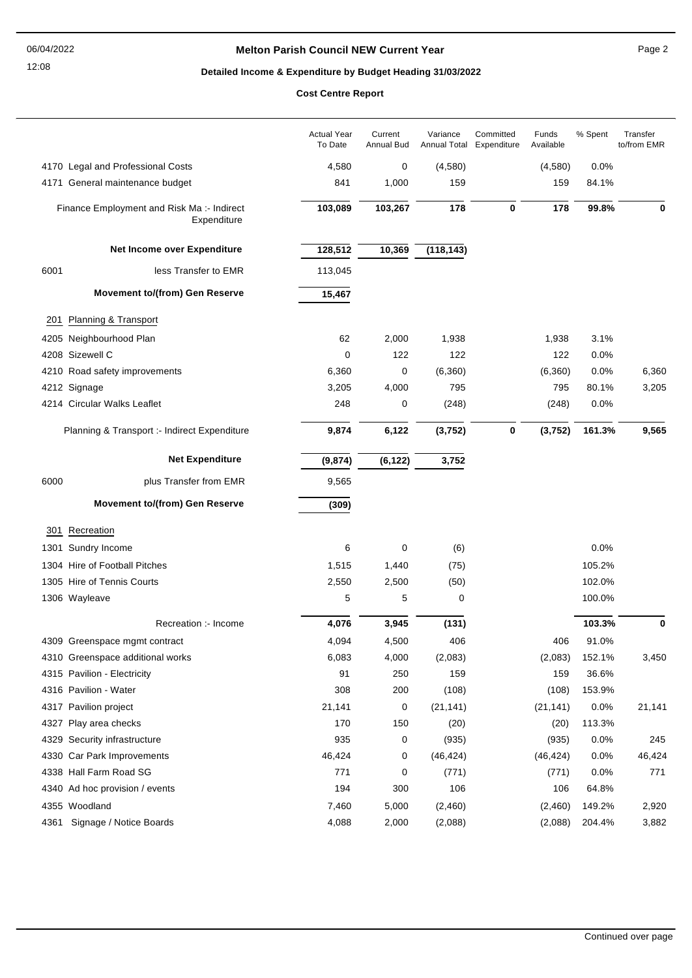12:08

#### **Melton Parish Council NEW Current Year** Page 2

## **Detailed Income & Expenditure by Budget Heading 31/03/2022**

**Cost Centre Report**

|      |                                                           | <b>Actual Year</b><br>To Date | Current<br>Annual Bud | Variance<br>Annual Total Expenditure | Committed | Funds<br>Available | % Spent | Transfer<br>to/from EMR |
|------|-----------------------------------------------------------|-------------------------------|-----------------------|--------------------------------------|-----------|--------------------|---------|-------------------------|
|      | 4170 Legal and Professional Costs                         | 4,580                         | 0                     | (4,580)                              |           | (4,580)            | 0.0%    |                         |
|      | 4171 General maintenance budget                           | 841                           | 1,000                 | 159                                  |           | 159                | 84.1%   |                         |
|      | Finance Employment and Risk Ma :- Indirect<br>Expenditure | 103,089                       | 103,267               | 178                                  | $\bf{0}$  | 178                | 99.8%   | 0                       |
|      | Net Income over Expenditure                               | 128,512                       | 10,369                | (118, 143)                           |           |                    |         |                         |
| 6001 | less Transfer to EMR                                      | 113,045                       |                       |                                      |           |                    |         |                         |
|      | <b>Movement to/(from) Gen Reserve</b>                     | 15,467                        |                       |                                      |           |                    |         |                         |
| 201  | Planning & Transport                                      |                               |                       |                                      |           |                    |         |                         |
|      | 4205 Neighbourhood Plan                                   | 62                            | 2,000                 | 1,938                                |           | 1,938              | 3.1%    |                         |
|      | 4208 Sizewell C                                           | 0                             | 122                   | 122                                  |           | 122                | 0.0%    |                         |
|      | 4210 Road safety improvements                             | 6,360                         | 0                     | (6, 360)                             |           | (6,360)            | 0.0%    | 6,360                   |
|      | 4212 Signage                                              | 3,205                         | 4,000                 | 795                                  |           | 795                | 80.1%   | 3,205                   |
|      | 4214 Circular Walks Leaflet                               | 248                           | 0                     | (248)                                |           | (248)              | 0.0%    |                         |
|      | Planning & Transport :- Indirect Expenditure              | 9,874                         | 6,122                 | (3, 752)                             | $\bf{0}$  | (3,752)            | 161.3%  | 9,565                   |
|      | <b>Net Expenditure</b>                                    | (9, 874)                      | (6, 122)              | 3,752                                |           |                    |         |                         |
| 6000 | plus Transfer from EMR                                    | 9,565                         |                       |                                      |           |                    |         |                         |
|      | <b>Movement to/(from) Gen Reserve</b>                     | (309)                         |                       |                                      |           |                    |         |                         |
| 301  | Recreation                                                |                               |                       |                                      |           |                    |         |                         |
|      | 1301 Sundry Income                                        | 6                             | 0                     | (6)                                  |           |                    | 0.0%    |                         |
|      | 1304 Hire of Football Pitches                             | 1,515                         | 1,440                 | (75)                                 |           |                    | 105.2%  |                         |
|      | 1305 Hire of Tennis Courts                                | 2,550                         | 2,500                 | (50)                                 |           |                    | 102.0%  |                         |
|      | 1306 Wayleave                                             | 5                             | 5                     | 0                                    |           |                    | 100.0%  |                         |
|      | Recreation :- Income                                      | 4,076                         | 3,945                 | (131)                                |           |                    | 103.3%  | 0                       |
|      | 4309 Greenspace mgmt contract                             | 4,094                         | 4,500                 | 406                                  |           | 406                | 91.0%   |                         |
|      | 4310 Greenspace additional works                          | 6,083                         | 4,000                 | (2,083)                              |           | (2,083)            | 152.1%  | 3,450                   |
|      | 4315 Pavilion - Electricity                               | 91                            | 250                   | 159                                  |           | 159                | 36.6%   |                         |
|      | 4316 Pavilion - Water                                     | 308                           | 200                   | (108)                                |           | (108)              | 153.9%  |                         |
|      | 4317 Pavilion project                                     | 21,141                        | 0                     | (21, 141)                            |           | (21, 141)          | 0.0%    | 21,141                  |
|      | 4327 Play area checks                                     | 170                           | 150                   | (20)                                 |           | (20)               | 113.3%  |                         |
|      | 4329 Security infrastructure                              | 935                           | 0                     | (935)                                |           | (935)              | 0.0%    | 245                     |
|      | 4330 Car Park Improvements                                | 46,424                        | 0                     | (46, 424)                            |           | (46, 424)          | 0.0%    | 46,424                  |
|      | 4338 Hall Farm Road SG                                    | 771                           | 0                     | (771)                                |           | (771)              | 0.0%    | 771                     |
|      | 4340 Ad hoc provision / events                            | 194                           | 300                   | 106                                  |           | 106                | 64.8%   |                         |
|      | 4355 Woodland                                             | 7,460                         | 5,000                 | (2,460)                              |           | (2,460)            | 149.2%  | 2,920                   |
| 4361 | Signage / Notice Boards                                   | 4,088                         | 2,000                 | (2,088)                              |           | (2,088)            | 204.4%  | 3,882                   |